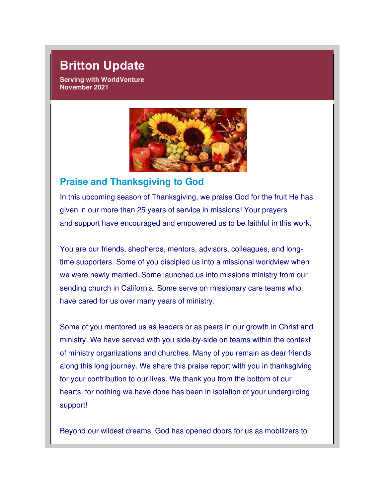## **Britton Update**

**Serving with WorldVenture November 2021** 



#### **Praise and Thanksgiving to God**

In this upcoming season of Thanksgiving, we praise God for the fruit He has given in our more than 25 years of service in missions! Your prayers and support have encouraged and empowered us to be faithful in this work.

You are our friends, shepherds, mentors, advisors, colleagues, and longtime supporters. Some of you discipled us into a missional worldview when we were newly married. Some launched us into missions ministry from our sending church in California. Some serve on missionary care teams who have cared for us over many years of ministry.

Some of you mentored us as leaders or as peers in our growth in Christ and ministry. We have served with you side-by-side on teams within the context of ministry organizations and churches. Many of you remain as dear friends along this long journey. We share this praise report with you in thanksgiving for your contribution to our lives. We thank you from the bottom of our hearts, for nothing we have done has been in isolation of your undergirding support!

Beyond our wildest dreams, God has opened doors for us as mobilizers to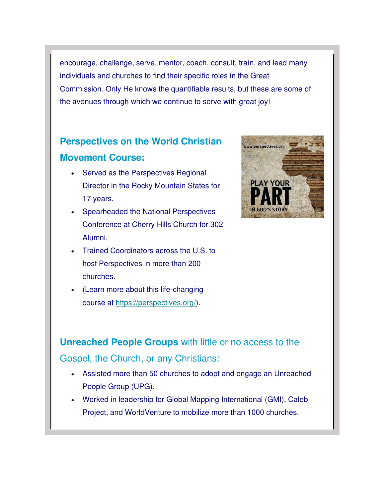encourage, challenge, serve, mentor, coach, consult, train, and lead many individuals and churches to find their specific roles in the Great Commission. Only He knows the quantifiable results, but these are some of the avenues through which we continue to serve with great joy!

## **Perspectives on the World Christian Movement Course:**

- Served as the Perspectives Regional Director in the Rocky Mountain States for 17 years.
- Spearheaded the National Perspectives Conference at Cherry Hills Church for 302 Alumni.
- Trained Coordinators across the U.S. to host Perspectives in more than 200 churches.
- (Learn more about this life-changing course at [https://perspectives.org/\)](https://worldventure.us20.list-manage.com/track/click?u=39bab3b4ba069c15e545fc801&id=43c90b527a&e=36a1ebc004).



**Unreached People Groups** with little or no access to the Gospel, the Church, or any Christians:

- Assisted more than 50 churches to adopt and engage an Unreached People Group (UPG).
- Worked in leadership for Global Mapping International (GMI), Caleb Project, and WorldVenture to mobilize more than 1000 churches.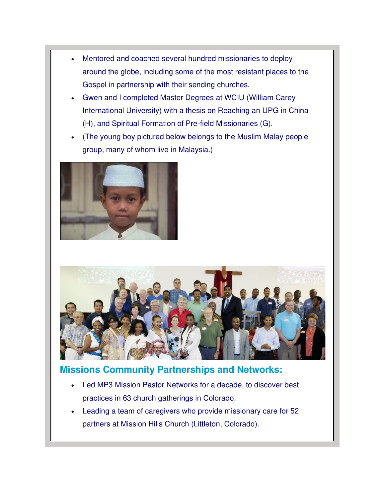- Mentored and coached several hundred missionaries to deploy around the globe, including some of the most resistant places to the Gospel in partnership with their sending churches.
- Gwen and I completed Master Degrees at WCIU (William Carey International University) with a thesis on Reaching an UPG in China (H), and Spiritual Formation of Pre-field Missionaries (G).
- (The young boy pictured below belongs to the Muslim Malay people group, many of whom live in Malaysia.)





### **Missions Community Partnerships and Networks:**

- Led MP3 Mission Pastor Networks for a decade, to discover best practices in 63 church gatherings in Colorado.
- Leading a team of caregivers who provide missionary care for 52 partners at Mission Hills Church (Littleton, Colorado).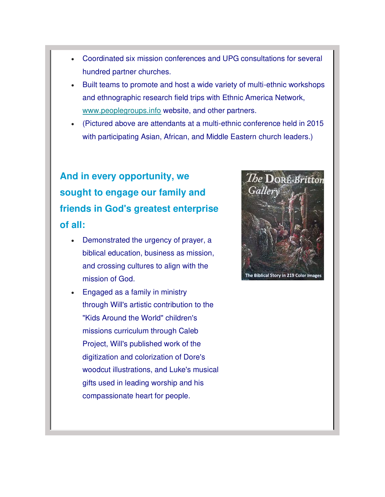- Coordinated six mission conferences and UPG consultations for several hundred partner churches.
- Built teams to promote and host a wide variety of multi-ethnic workshops and ethnographic research field trips with Ethnic America Network, [www.peoplegroups.info](https://worldventure.us20.list-manage.com/track/click?u=39bab3b4ba069c15e545fc801&id=377316c3a6&e=36a1ebc004) website, and other partners.
- (Pictured above are attendants at a multi-ethnic conference held in 2015 with participating Asian, African, and Middle Eastern church leaders.)

# **And in every opportunity, we sought to engage our family and friends in God's greatest enterprise of all:**

- Demonstrated the urgency of prayer, a biblical education, business as mission, and crossing cultures to align with the mission of God.
- Engaged as a family in ministry through Will's artistic contribution to the "Kids Around the World" children's missions curriculum through Caleb Project, Will's published work of the digitization and colorization of Dore's woodcut illustrations, and Luke's musical gifts used in leading worship and his compassionate heart for people.

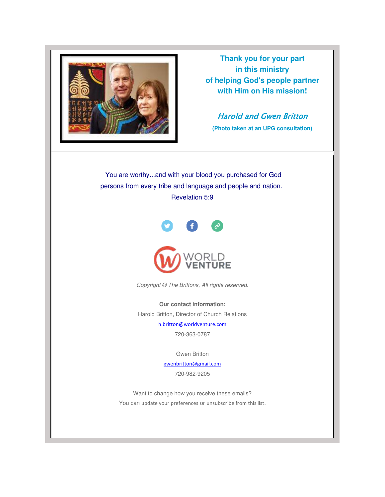

**Thank you for your part in this ministry of helping God's people partner with Him on His mission!**

Harold and Gwen Britton

**(Photo taken at an UPG consultation)**

 You are worthy...and with your blood you purchased for God persons from every tribe and language and people and nation. Revelation 5:9



Copyright © The Brittons, All rights reserved.

**Our contact information:** Harold Britton, Director of Church Relations

[h.britton@worldventure.com](mailto:h.britton@worldventure.com)

720-363-0787

Gwen Britton

[gwenbritton@gmail.com](mailto:gwenbritton@gmail.com)

720-982-9205

Want to change how you receive these emails? You can [update your preferences](https://worldventure.us20.list-manage.com/profile?u=39bab3b4ba069c15e545fc801&id=a38d9301c4&e=36a1ebc004&c=b3bef0367f) or [unsubscribe from this list](https://worldventure.us20.list-manage.com/unsubscribe?u=39bab3b4ba069c15e545fc801&id=a38d9301c4&e=36a1ebc004&c=b3bef0367f).